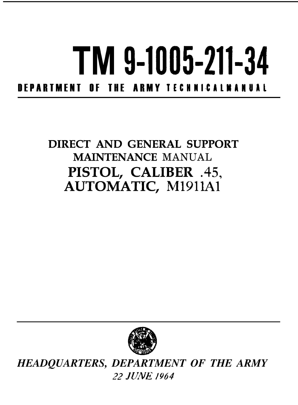## 1M **9-1005-211-34** DEPARTMENT OF THE ARMY TECHNICALMANUAL

## DIRECT AND GENERAL SUPPORT MAINTENANCE MANUAL PISTOL, CALIBER .45, AUTOMATIC, M1911A1



 $HEADQUARTERS, DEPARTMENT$   $OF$   $THE$   $ARM$ 22 *JUNE* /964